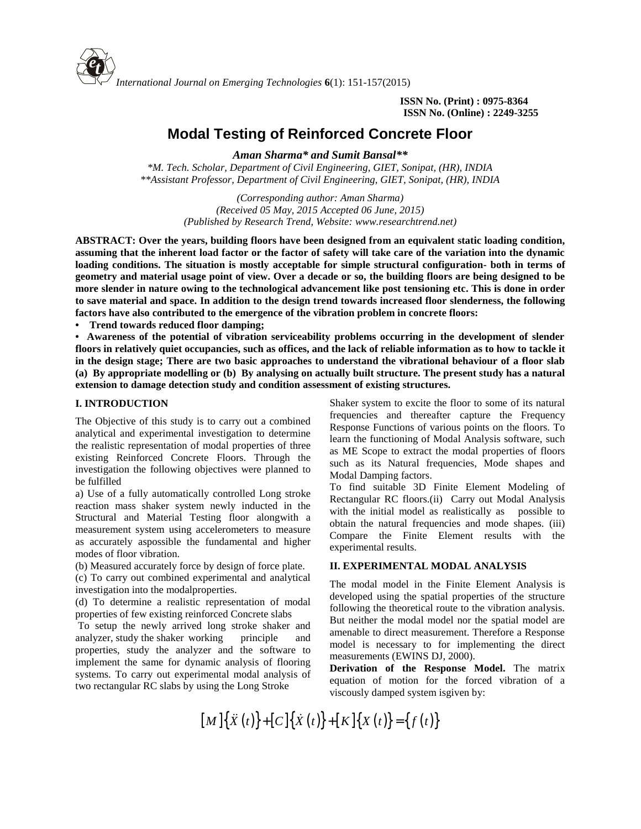

**ISSN No. (Print) : 0975-8364 ISSN No. (Online) : 2249-3255**

# **Modal Testing of Reinforced Concrete Floor**

*Aman Sharma\* and Sumit Bansal\*\**

*\*M. Tech. Scholar, Department of Civil Engineering, GIET, Sonipat, (HR), INDIA \*\*Assistant Professor, Department of Civil Engineering, GIET, Sonipat, (HR), INDIA*

> *(Corresponding author: Aman Sharma) (Received 05 May, 2015 Accepted 06 June, 2015) (Published by Research Trend, Website: [www.researchtrend.net\)](www.researchtrend.net)*

**ABSTRACT: Over the years, building floors have been designed from an equivalent static loading condition, assuming that the inherent load factor or the factor of safety will take care of the variation into the dynamic loading conditions. The situation is mostly acceptable for simple structural configuration- both in terms of geometry and material usage point of view. Over a decade or so, the building floors are being designed to be more slender in nature owing to the technological advancement like post tensioning etc. This is done in order to save material and space. In addition to the design trend towards increased floor slenderness, the following factors have also contributed to the emergence of the vibration problem in concrete floors:**

**• Trend towards reduced floor damping;**

**• Awareness of the potential of vibration serviceability problems occurring in the development of slender floors in relatively quiet occupancies, such as offices, and the lack of reliable information as to how to tackle it in the design stage; There are two basic approaches to understand the vibrational behaviour of a floor slab (a) By appropriate modelling or (b) By analysing on actually built structure. The present study has a natural extension to damage detection study and condition assessment of existing structures.**

#### **I. INTRODUCTION**

The Objective of this study is to carry out a combined analytical and experimental investigation to determine the realistic representation of modal properties of three existing Reinforced Concrete Floors. Through the investigation the following objectives were planned to be fulfilled

a) Use of a fully automatically controlled Long stroke reaction mass shaker system newly inducted in the Structural and Material Testing floor alongwith a measurement system using accelerometers to measure as accurately aspossible the fundamental and higher modes of floor vibration.

(b) Measured accurately force by design of force plate.

(c) To carry out combined experimental and analytical investigation into the modalproperties.

(d) To determine a realistic representation of modal properties of few existing reinforced Concrete slabs

To setup the newly arrived long stroke shaker and analyzer, study the shaker working principle and properties, study the analyzer and the software to implement the same for dynamic analysis of flooring systems. To carry out experimental modal analysis of two rectangular RC slabs by using the Long Stroke

Shaker system to excite the floor to some of its natural frequencies and thereafter capture the Frequency Response Functions of various points on the floors. To learn the functioning of Modal Analysis software, such as ME Scope to extract the modal properties of floors such as its Natural frequencies, Mode shapes and Modal Damping factors.

To find suitable 3D Finite Element Modeling of Rectangular RC floors.(ii) Carry out Modal Analysis with the initial model as realistically as possible to obtain the natural frequencies and mode shapes. (iii) Compare the Finite Element results with the experimental results.

#### **II. EXPERIMENTAL MODAL ANALYSIS**

The modal model in the Finite Element Analysis is developed using the spatial properties of the structure following the theoretical route to the vibration analysis. But neither the modal model nor the spatial model are amenable to direct measurement. Therefore a Response model is necessary to for implementing the direct measurements (EWINS DJ, 2000). It is to carry out a combined<br> **Exergences** Functions of various points on the floors. To<br>
modal properties of three lacem the functioning of Modal Anaysis software, such<br>modal properties of three<br>
embed to as ME Scope to ation to determine feature has ME Scope to extract the modal properties of three as ME Scope to extract the modal properties of floors symparine such as its Natural frequencies, Mode shapes and rolled Long stroke as ME Sc

**Derivation of the Response Model.** The matrix equation of motion for the forced vibration of a viscously damped system isgiven by: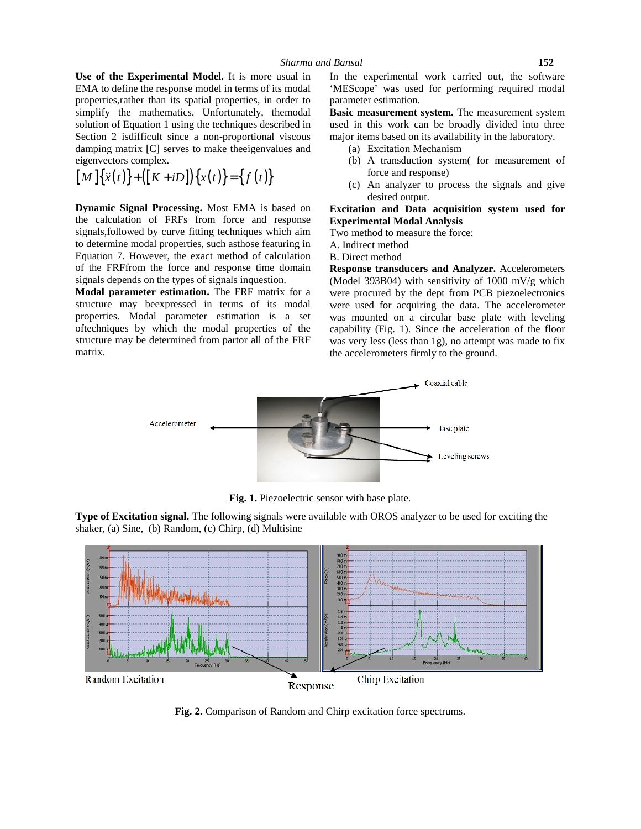**Use of the Experimental Model.** It is more usual in EMA to define the response model in terms of its modal properties,rather than its spatial properties, in order to simplify the mathematics. Unfortunately, themodal solution of Equation 1 using the techniques described in Section 2 isdifficult since a non-proportional viscous damping matrix [C] serves to make theeigenvalues and eigenvectors complex. **Example 15 and Model.** It is more usual in The experimental work carried out, the softward to define the response model in terms of its model in MEScope' was used for performing required more in the spatial properties, i

$$
[M]\{\ddot{x}(t)\} + ([K+iD])\{x(t)\} = \{f(t)\}\
$$

**Dynamic Signal Processing.** Most EMA is based on the calculation of FRFs from force and response signals,followed by curve fitting techniques which aim to determine modal properties, such asthose featuring in Equation 7. However, the exact method of calculation of the FRFfrom the force and response time domain signals depends on the types of signals inquestion.

**Modal parameter estimation.** The FRF matrix for a structure may beexpressed in terms of its modal properties. Modal parameter estimation is a set oftechniques by which the modal properties of the structure may be determined from partor all of the FRF matrix.

In the experimental work carried out, the software 'MEScope' was used for performing required modal parameter estimation.

**Basic measurement system.** The measurement system used in this work can be broadly divided into three major items based on its availability in the laboratory.

- (a) Excitation Mechanism
- (b) A transduction system( for measurement of force and response)
- (c) An analyzer to process the signals and give desired output.

**Excitation and Data acquisition system used for Experimental Modal Analysis**

Two method to measure the force:

A. Indirect method

B. Direct method

**Response transducers and Analyzer.** Accelerometers (Model 393B04) with sensitivity of 1000 mV/g which were procured by the dept from PCB piezoelectronics were used for acquiring the data. The accelerometer was mounted on a circular base plate with leveling capability (Fig. 1). Since the acceleration of the floor was very less (less than 1g), no attempt was made to fix the accelerometers firmly to the ground.



**Fig. 1.** Piezoelectric sensor with base plate.

**Type of Excitation signal.** The following signals were available with OROS analyzer to be used for exciting the shaker, (a) Sine, (b) Random, (c) Chirp, (d) Multisine



**Fig. 2.** Comparison of Random and Chirp excitation force spectrums.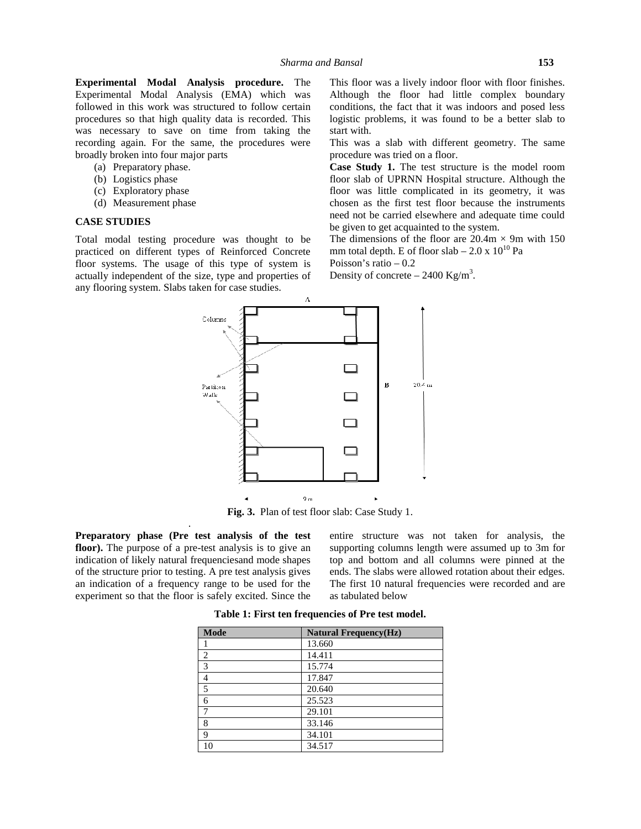**Experimental Modal Analysis procedure.** The Experimental Modal Analysis (EMA) which was followed in this work was structured to follow certain procedures so that high quality data is recorded. This was necessary to save on time from taking the recording again. For the same, the procedures were broadly broken into four major parts

- (a) Preparatory phase.
- (b) Logistics phase
- (c) Exploratory phase
- (d) Measurement phase

#### **CASE STUDIES**

Total modal testing procedure was thought to be practiced on different types of Reinforced Concrete floor systems. The usage of this type of system is actually independent of the size, type and properties of any flooring system. Slabs taken for case studies.

This floor was a lively indoor floor with floor finishes. Although the floor had little complex boundary conditions, the fact that it was indoors and posed less logistic problems, it was found to be a better slab to start with.

This was a slab with different geometry. The same procedure was tried on a floor.

**Case Study 1.** The test structure is the model room floor slab of UPRNN Hospital structure. Although the floor was little complicated in its geometry, it was chosen as the first test floor because the instruments need not be carried elsewhere and adequate time could be given to get acquainted to the system.

The dimensions of the floor are  $20.4m \times 9m$  with 150 mm total depth. E of floor slab – 2.0 x  $10^{10}$  Pa

Poisson's ratio – 0.2

Density of concrete  $-2400 \text{ Kg/m}^3$ .



**Fig. 3.** Plan of test floor slab: Case Study 1.

**Preparatory phase (Pre test analysis of the test floor).** The purpose of a pre-test analysis is to give an indication of likely natural frequenciesand mode shapes of the structure prior to testing. A pre test analysis gives an indication of a frequency range to be used for the experiment so that the floor is safely excited. Since the

.

entire structure was not taken for analysis, the supporting columns length were assumed up to 3m for top and bottom and all columns were pinned at the ends. The slabs were allowed rotation about their edges. The first 10 natural frequencies were recorded and are as tabulated below

| <b>Mode</b>    | <b>Natural Frequency(Hz)</b> |
|----------------|------------------------------|
|                | 13.660                       |
| $\overline{2}$ | 14.411                       |
| 3              | 15.774                       |
| 4              | 17.847                       |
| 5              | 20.640                       |
| 6              | 25.523                       |
|                | 29.101                       |
| 8              | 33.146                       |
| 9              | 34.101                       |
| 10             | 34.517                       |

**Table 1: First ten frequencies of Pre test model.**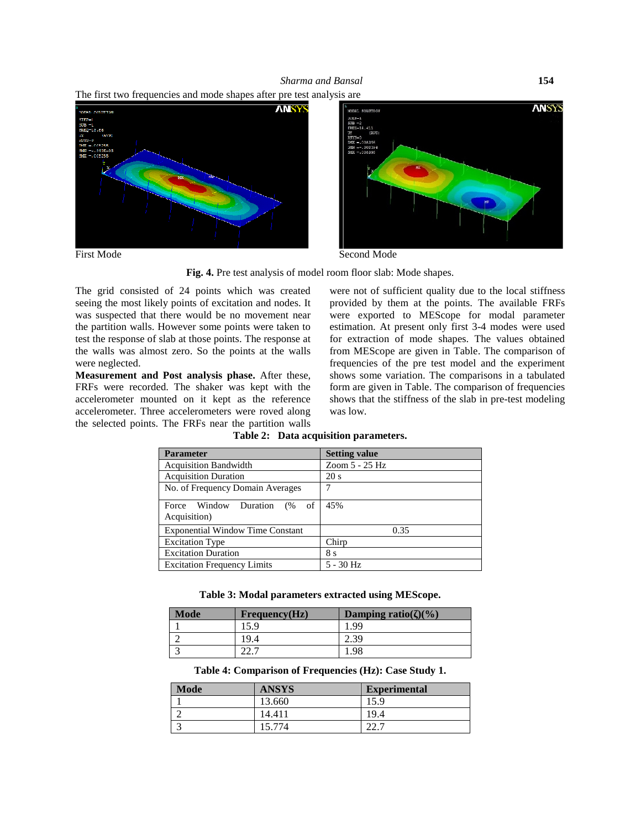





**Fig. 4.** Pre test analysis of model room floor slab: Mode shapes.

The grid consisted of 24 points which was created seeing the most likely points of excitation and nodes. It was suspected that there would be no movement near the partition walls. However some points were taken to test the response of slab at those points. The response at the walls was almost zero. So the points at the walls were neglected.

**Measurement and Post analysis phase.** After these, FRFs were recorded. The shaker was kept with the accelerometer mounted on it kept as the reference accelerometer. Three accelerometers were roved along the selected points. The FRFs near the partition walls were not of sufficient quality due to the local stiffness provided by them at the points. The available FRFs were exported to MEScope for modal parameter estimation. At present only first 3-4 modes were used for extraction of mode shapes. The values obtained from MEScope are given in Table. The comparison of frequencies of the pre test model and the experiment shows some variation. The comparisons in a tabulated form are given in Table. The comparison of frequencies shows that the stiffness of the slab in pre-test modeling was low.

| <b>Parameter</b>                            | <b>Setting value</b> |
|---------------------------------------------|----------------------|
| <b>Acquisition Bandwidth</b>                | Zoom 5 - 25 Hz       |
| <b>Acquisition Duration</b>                 | 20 s                 |
| No. of Frequency Domain Averages            |                      |
| Force Window Duration (% of<br>Acquisition) | 45%                  |
| <b>Exponential Window Time Constant</b>     | 0.35                 |
| <b>Excitation Type</b>                      | Chirp                |
| <b>Excitation Duration</b>                  | 8 s                  |
| <b>Excitation Frequency Limits</b>          | 5 - 30 Hz            |

**Table 2: Data acquisition parameters.**

**Table 3: Modal parameters extracted using MEScope.**

| <b>Mode</b> | Frequency(Hz) | Damping ratio( $)(\%)$ |
|-------------|---------------|------------------------|
|             | .5.9          | .99                    |
|             | '9.4          |                        |
|             |               | 98                     |

**Table 4: Comparison of Frequencies (Hz): Case Study 1.**

| <b>Mode</b> | <b>ANSYS</b> | <b>Experimental</b> |
|-------------|--------------|---------------------|
|             | 13.660       | 15.9                |
|             | 14.411       | 19.4                |
|             | 15.774       |                     |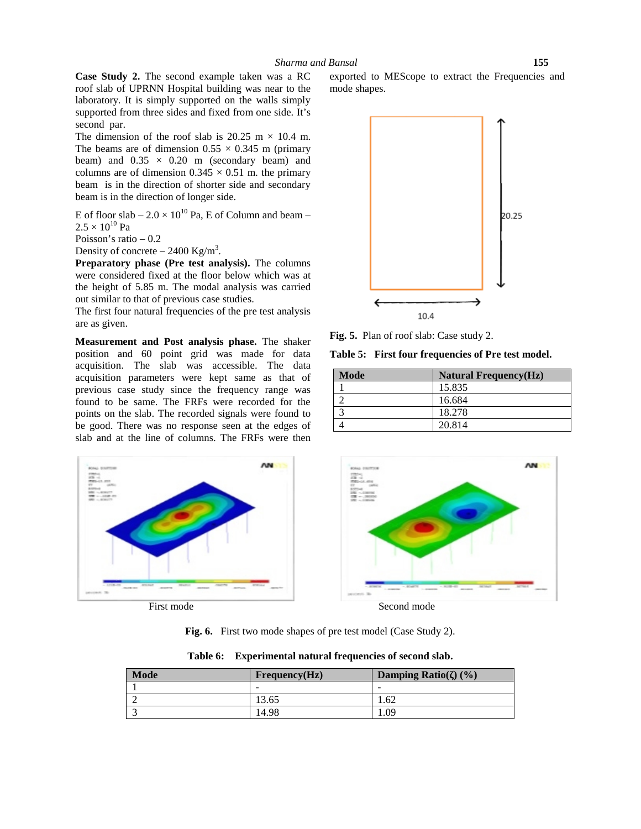**Case Study 2.** The second example taken was a RC roof slab of UPRNN Hospital building was near to the laboratory. It is simply supported on the walls simply supported from three sides and fixed from one side. It's second par.

The dimension of the roof slab is 20.25 m  $\times$  10.4 m. The beams are of dimension  $0.55 \times 0.345$  m (primary beam) and  $0.35 \times 0.20$  m (secondary beam) and columns are of dimension  $0.345 \times 0.51$  m. the primary beam is in the direction of shorter side and secondary beam is in the direction of longer side.

E of floor slab –  $2.0 \times 10^{10}$  Pa, E of Column and beam –  $2.5 \times 10^{10}$  Pa

Poisson's ratio – 0.2

Density of concrete  $-2400 \text{ Kg/m}^3$ .

**Preparatory phase (Pre test analysis).** The columns were considered fixed at the floor below which was at the height of 5.85 m. The modal analysis was carried out similar to that of previous case studies.

The first four natural frequencies of the pre test analysis are as given.

**Measurement and Post analysis phase.** The shaker position and 60 point grid was made for data acquisition. The slab was accessible. The data acquisition parameters were kept same as that of previous case study since the frequency range was points on the slab. The recorded signals were found to be good. There was no response seen at the edges of



exported to MEScope to extract the Frequencies and mode shapes.



**Fig. 5.** Plan of roof slab: Case study 2.

**Table 5: First four frequencies of Pre test model.**

| Mode | <b>Natural Frequency(Hz)</b> |
|------|------------------------------|
|      | 15.835                       |
|      | 16.684                       |
|      | 18.278                       |
|      | 20.814                       |



**Fig. 6.** First two mode shapes of pre test model (Case Study 2).

| <b>Mode</b> | Frequency(Hz) | Damping Ratio()(%) |
|-------------|---------------|--------------------|
|             | -             | -                  |
|             | 13.65         | 1.62               |
|             | 14.98         | .09                |

**Table 6: Experimental natural frequencies of second slab.**

**AN**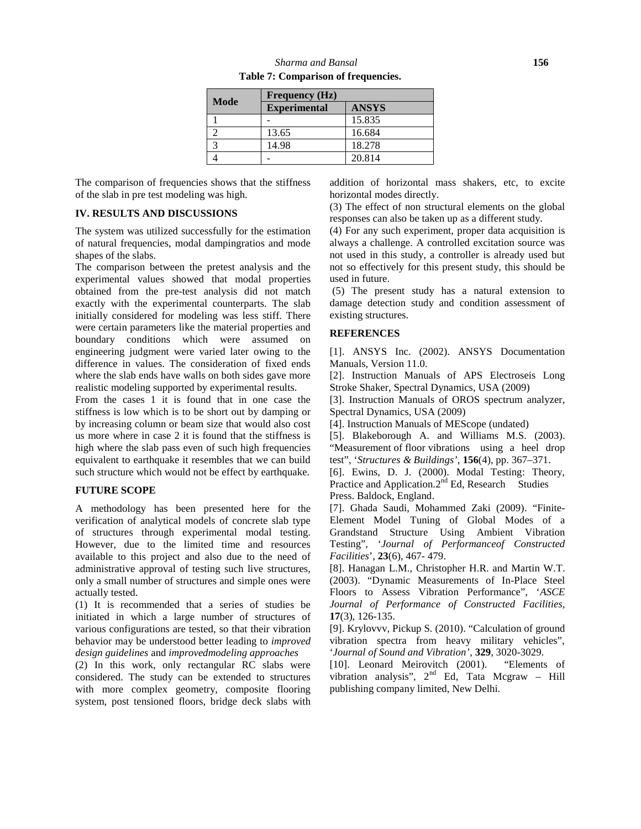| Mode | <b>Frequency</b> (Hz) |              |
|------|-----------------------|--------------|
|      | <b>Experimental</b>   | <b>ANSYS</b> |
|      |                       | 15.835       |
|      | 13.65                 | 16.684       |
|      | 14.98                 | 18.278       |
|      |                       | 20.814       |

The comparison of frequencies shows that the stiffness of the slab in pre test modeling was high.

## **IV. RESULTS AND DISCUSSIONS**

The system was utilized successfully for the estimation of natural frequencies, modal dampingratios and mode shapes of the slabs.

The comparison between the pretest analysis and the experimental values showed that modal properties obtained from the pre-test analysis did not match exactly with the experimental counterparts. The slab initially considered for modeling was less stiff. There were certain parameters like the material properties and boundary conditions which were assumed on engineering judgment were varied later owing to the difference in values. The consideration of fixed ends where the slab ends have walls on both sides gave more realistic modeling supported by experimental results.

From the cases 1 it is found that in one case the stiffness is low which is to be short out by damping or by increasing column or beam size that would also cost us more where in case 2 it is found that the stiffness is high where the slab pass even of such high frequencies equivalent to earthquake it resembles that we can build such structure which would not be effect by earthquake.

## **FUTURE SCOPE**

A methodology has been presented here for the verification of analytical models of concrete slab type of structures through experimental modal testing. However, due to the limited time and resources available to this project and also due to the need of administrative approval of testing such live structures, only a small number of structures and simple ones were actually tested.

(1) It is recommended that a series of studies be initiated in which a large number of structures of various configurations are tested, so that their vibration behavior may be understood better leading to *improved design guidelines* and *improvedmodeling approaches*

(2) In this work, only rectangular RC slabs were considered. The study can be extended to structures with more complex geometry, composite flooring system, post tensioned floors, bridge deck slabs with

addition of horizontal mass shakers, etc, to excite horizontal modes directly.

(3) The effect of non structural elements on the global responses can also be taken up as a different study.

(4) For any such experiment, proper data acquisition is always a challenge. A controlled excitation source was not used in this study, a controller is already used but not so effectively for this present study, this should be used in future.

(5) The present study has a natural extension to damage detection study and condition assessment of existing structures.

### **REFERENCES**

[1]. ANSYS Inc. (2002). ANSYS Documentation Manuals, Version 11.0.

[2]. Instruction Manuals of APS Electroseis Long Stroke Shaker, Spectral Dynamics, USA (2009)

[3]. Instruction Manuals of OROS spectrum analyzer, Spectral Dynamics, USA (2009)

[4]. Instruction Manuals of MEScope (undated)

[5]. Blakeborough A. and Williams M.S. (2003). "Measurement of floor vibrations using a heel drop test", '*Structures & Buildings'*, **156**(4), pp. 367–371.

[6]. Ewins, D. J. (2000). Modal Testing: Theory, Practice and Application.2<sup>nd</sup> Ed, Research Studies Press. Baldock, England.

[7]. Ghada Saudi, Mohammed Zaki (2009). "Finite- Element Model Tuning of Global Modes of a Grandstand Structure Using Ambient Vibration Testing", '*Journal of Performanceof Constructed Facilities*', **23**(6), 467- 479.

[8]. Hanagan L.M., Christopher H.R. and Martin W.T. (2003). "Dynamic Measurements of In-Place Steel Floors to Assess Vibration Performance", '*ASCE Journal of Performance of Constructed Facilities*, **17**(3), 126-135.

[9]. Krylovvv, Pickup S. (2010). "Calculation of ground vibration spectra from heavy military vehicles", '*Journal of Sound and Vibration'*, **329**, 3020-3029.

[10]. Leonard Meirovitch (2001). "Elements of vibration analysis",  $2<sup>nd</sup>$  Ed, Tata Mcgraw – Hill publishing company limited, New Delhi.